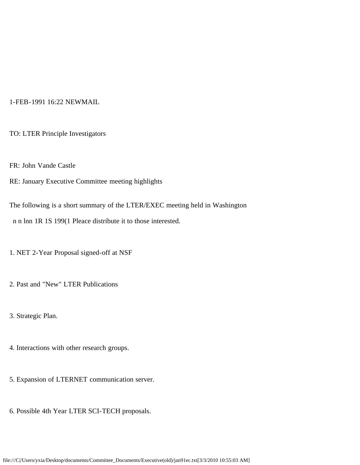## 1-FEB-1991 16:22 NEWMAIL

TO: LTER Principle Investigators

FR: John Vande Castle

RE: January Executive Committee meeting highlights

The following is a short summary of the LTER/EXEC meeting held in Washington n n lnn 1R 1S 199(1 Pleace distribute it to those interested.

1. NET 2-Year Proposal signed-off at NSF

2. Past and "New" LTER Publications

3. Strategic Plan.

4. Interactions with other research groups.

- 5. Expansion of LTERNET communication server.
- 6. Possible 4th Year LTER SCI-TECH proposals.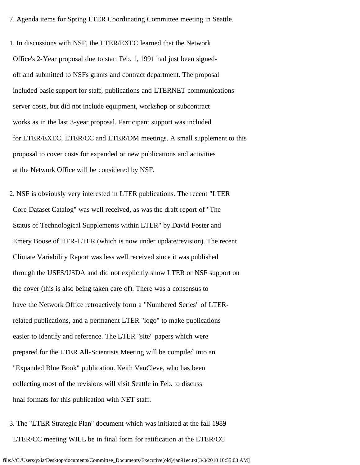7. Agenda items for Spring LTER Coordinating Committee meeting in Seattle.

1. In discussions with NSF, the LTER/EXEC learned that the Network Office's 2-Year proposal due to start Feb. 1, 1991 had just been signed off and submitted to NSFs grants and contract department. The proposal included basic support for staff, publications and LTERNET communications server costs, but did not include equipment, workshop or subcontract works as in the last 3-year proposal. Participant support was included for LTER/EXEC, LTER/CC and LTER/DM meetings. A small supplement to this proposal to cover costs for expanded or new publications and activities at the Network Office will be considered by NSF.

2. NSF is obviously very interested in LTER publications. The recent "LTER Core Dataset Catalog" was well received, as was the draft report of "The Status of Technological Supplements within LTER" by David Foster and Emery Boose of HFR-LTER (which is now under update/revision). The recent Climate Variability Report was less well received since it was published through the USFS/USDA and did not explicitly show LTER or NSF support on the cover (this is also being taken care of). There was a consensus to have the Network Office retroactively form a "Numbered Series" of LTER related publications, and a permanent LTER "logo" to make publications easier to identify and reference. The LTER "site" papers which were prepared for the LTER All-Scientists Meeting will be compiled into an "Expanded Blue Book" publication. Keith VanCleve, who has been collecting most of the revisions will visit Seattle in Feb. to discuss hnal formats for this publication with NET staff.

3. The "LTER Strategic Plan" document which was initiated at the fall 1989 LTER/CC meeting WILL be in final form for ratification at the LTER/CC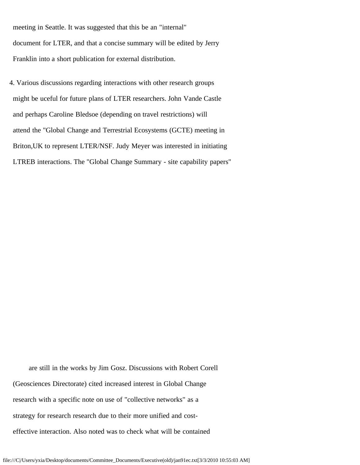meeting in Seattle. It was suggested that this be an "internal" document for LTER, and that a concise summary will be edited by Jerry Franklin into a short publication for external distribution.

4. Various discussions regarding interactions with other research groups might be uceful for future plans of LTER researchers. John Vande Castle and perhaps Caroline Bledsoe (depending on travel restrictions) will attend the "Global Change and Terrestrial Ecosystems (GCTE) meeting in Briton,UK to represent LTER/NSF. Judy Meyer was interested in initiating LTREB interactions. The "Global Change Summary - site capability papers"

 are still in the works by Jim Gosz. Discussions with Robert Corell (Geosciences Directorate) cited increased interest in Global Change research with a specific note on use of "collective networks" as a strategy for research research due to their more unified and cost effective interaction. Also noted was to check what will be contained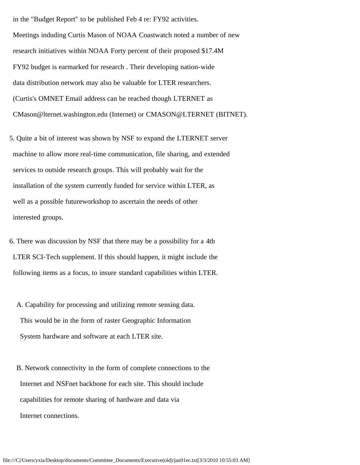in the "Budget Report" to be published Feb 4 re: FY92 activities. Meetings induding Curtis Mason of NOAA Coastwatch noted a number of new research initiatives within NOAA Forty percent of their proposed \$17.4M FY92 budget is earmarked for research . Their developing nation-wide data distribution network may also be valuable for LTER researchers. (Curtis's OMNET Email address can be reached though LTERNET as CMason@lternet.washington.edu (Internet) or CMASON@LTERNET (BITNET).

5. Quite a bit of interest was shown by NSF to expand the LTERNET server machine to allow more real-time communication, file sharing, and extended services to outside research groups. This will probably wait for the installation of the system currently funded for service within LTER, as well as a possible futureworkshop to ascertain the needs of other interested groups.

6. There was discussion by NSF that there may be a possibility for a 4th LTER SCI-Tech supplement. If this should happen, it might include the following items as a focus, to insure standard capabilities within LTER.

 A. Capability for processing and utilizing remote sensing data. This would be in the form of raster Geographic Information System hardware and software at each LTER site.

 B. Network connectivity in the form of complete connections to the Internet and NSFnet backbone for each site. This should include capabilities for remote sharing of hardware and data via Internet connections.